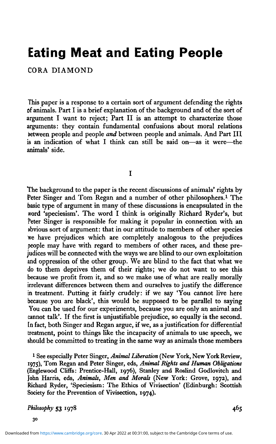# **Eating Meat and Eating People** *o* as

ORA DIAMOND

This paper is a response to a certain sort of argument defending the rights of animals. Part I is a brief explanation of the background and of the sort of argument I want to reject; Part II is an attempt to characterize those arguments: they contain fundamental confusions about moral relations between people and people *and* between people and animals. And Part III *i* an indication of what I think can still be said on—as it were—the animals' side.

T

The background to the paper is the recent discussions of animals' rights by Peter Singer and Tom Regan and a number of other philosophers.<sup>1</sup> The basic type of argument in many of these discussions is encapsulated in the word 'speciesism'. The word I think is originally Richard Ryder's, but Peter Singer is responsible for making it popular in connection with an , jbvious sort of argument: that in our attitude to members of other species we have prejudices which are completely analogous to the prejudices >eople may have with regard to members of other races, and these preudices will be connected with the ways we are blind to our own exploitation ind oppression of the other group. We are blind to the fact that what we do to them deprives them of their rights; we do not want to see this because we profit from it, and so we make use of what are really morally rrelevant differences between them and ourselves to justify the difference *n* treatment. Putting it fairly crudely: if we say 'You cannot live here because you are black', this would be supposed to be parallel to saying 'You can be used for our experiments, because you are only an animal and cannot talk'. If the first is unjustifiable prejudice, so equally is the second. In fact, both Singer and Regan argue, if we, as a justification for differential treatment, point to things like the incapacity of animals to use speech, we should be committed to treating in the same way as animals those members

<sup>1</sup> See especially Peter Singer, *Animal Liberation* (New York, New York Review, 97S)» Tom Regan and Peter Singer, eds, *Animal Rights and Human Obligations* Englewood Cliffs: Prentice-Hall, 1976), Stanley and Roslind Godlovitch and fohn Harris, eds, *Animals, Men and Morals* (New York: Grove, 1972), and lichard Ryder, 'Speciesism: The Ethics of Vivisection' (Edinburgh: Scottish Society for the Prevention of Vivisection, 1974).

*Philosophy* 53 1978 **465**

**30**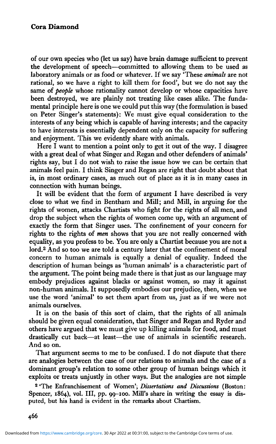of our own species who (let us say) have brain damage sufficient to prevent the development of speech—committed to allowing them to be used as laboratory animals or as food or whatever. If we say 'These *animals* are not rational, so we have a right to kill them for food', but we do not say the same of *people* whose rationality cannot develop or whose capacities have been destroyed, we are plainly not treating like cases alike. The fundamental principle here is one we could put this way (the formulation is based on Peter Singer's statements): We must give equal consideration to the interests of any being which is capable of having interests; and the capacity to have interests is essentially dependent only on the capacity for suffering and enjoyment. This we evidently share with animals.

Here I want to mention a point only to get it out of the way. I disagree with a great deal of what Singer and Regan and other defenders of animals' rights say, but I do not wish to raise the issue how we can be certain that animals feel pain. I think Singer and Regan are right that doubt about that is, in most ordinary cases, as much out of place as it is in many cases in connection with human beings.

It will be evident that the form of argument I have described is very close to what we find in Bentham and Mill; and Mill, in arguing for the rights of women, attacks Chartists who fight for the rights of all men, and drop the subject when the rights of women come up, with an argument of exactly the form that Singer uses. The confinement of your concern for rights to the rights of *men* shows that you are not really concerned with equality, as you profess to be. You are only a Chartist because you are not a lord.<sup>2</sup> And so too we are told a century later that the confinement of moral concern to human animals is equally a denial of equality. Indeed the description of human beings as 'human animals' is a characteristic part of the argument. The point being made there is that just as our language may embody prejudices against blacks or against women, so may it against non-human animals. It supposedly embodies our prejudice, then, when we use the word 'animal' to set them apart from us, just as if we were not animals ourselves.

It is on the basis of this sort of claim, that the rights of all animals should be given equal consideration, that Singer and Regan and Ryder and others have argued that we must give up killing animals for food, and must drastically cut back—at least—the use of animals in scientific research. And so on.

That argument seems to me to be confused. I do not dispute that there are analogies between the case of our relations to animals and the case of a dominant group's relation to some other group of human beings which it exploits or treats unjustly in other ways. But the analogies are not simple

2 'The Enfranchisement of Women'; *Dissertations and Discussions* (Boston: Spencer, 1864), vol. Ill, pp. 99-100. Mill's share in writing the essay is disputed, but his hand is evident in the remarks about Chartism.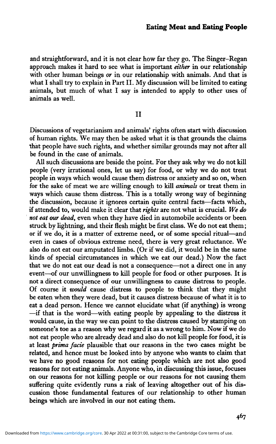and straightforward, and it is not clear how far they go. The Singer-Regan approach makes it hard to see what is important *either* in our relationship with other human beings *or* in our relationship with animals. And that is what I shall try to explain in Part II. My discussion will be limited to eating animals, but much of what I say is intended to apply to other uses of animals as well.

#### II

Discussions of vegetarianism and animals' rights often start with discussion of human rights. We may then be asked what it is that grounds the claims that people have such rights, and whether similar grounds may not after all be found in the case of animals.

All such discussions are beside the point. For they ask why we do not kill people (very irrational ones, let us say) for food, or why we do not treat people in ways which would cause them distress or anxiety and so on, when for the sake of meat we are willing enough to kill *animals* or treat them in ways which cause them distress. This is a totally wrong way of beginning the discussion, because it ignores certain quite central facts—facts which, if attended to, would make it clear that *rights* are not what is crucial. *We do not eat our dead,* even when they have died in automobile accidents or been struck by lightning, and their flesh might be first class. We do not eat them; or if we do, it is a matter of extreme need, or of some special ritual—and even in cases of obvious extreme need, there is very great reluctance. We also do not eat our amputated limbs. (Or if we did, it would be in the same kinds of special circumstances in which we eat our dead.) Now the fact that we do not eat our dead is not a consequence—not a direct one in any event—of our unwillingness to kill people for food or other purposes. It is not a direct consequence of our unwillingness to cause distress to people. Of course it *would* cause distress to people to think that they might be eaten when they were dead, but it causes distress because of what it is to eat a dead person. Hence we cannot elucidate what (if anything) is wrong —if that is the word—with eating people by appealing to the distress it would cause, in the way we can point to the distress caused by stamping on someone's toe as a reason why we regard it as a wrong to him. Now if we do not eat people who are already dead and also do not kill people for food, it is at least *prima facie* plausible that our reasons in the two cases might be related, and hence must be looked into by anyone who wants to claim that we have no good reasons for not eating people which are not also good reasons for not eating animals. Anyone who, in discussing this issue, focuses on our reasons for not killing people or our reasons for not causing them suffering quite evidently runs a risk of leaving altogether out of his discussion those fundamental features of our relationship to other human beings which are involved in our not eating them.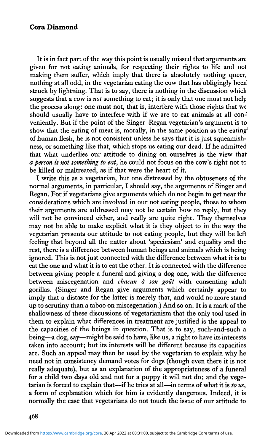### **Cora Diamond**

It is in fact part of the way this point is usually missed that arguments are given for not eating animals, for respecting their rights to life and not making them suffer, which imply that there is absolutely nothing queer, nothing at all odd, in the vegetarian eating the cow that has obligingly been struck by lightning. That is to say, there is nothing in the discussion which suggests that a cow is *not* something to eat; it is only that one must not help the process along: one must not, that is, interfere with those rights that we should usually have to interfere with if we are to eat animals at all conveniently. But if the point of the Singer-Regan vegetarian's argument is to show that the eating of meat is, morally, in the same position as the eating<sup>t</sup> of human flesh, he is not consistent unless he says that it is just squeamishness, or something like that, which stops us eating our dead. If he admitted that what underlies our attitude to dining on ourselves is the view that *a person is not something to eat,* he could not focus on the cow's right not to be killed or maltreated, as if that were the heart of it.

I write this as a vegetarian, but one distressed by the obtuseness of the normal arguments, in particular, I should say, the arguments of Singer and Regan. For if vegetarians give arguments which do not begin to get near the considerations which are involved in our not eating people, those to whom their arguments are addressed may not be certain how to reply, but they will not be convinced either, and really are quite right. They themselves may not be able to make explicit what it is they object to in the way the vegetarian presents our attitude to not eating people, but they will be left feeling that beyond all the natter about 'speciesism' and equality and the rest, there is a difference between human beings and animals which is being ignored. This is not just connected with the difference between what it is to eat the one and what it is to eat the other. It is connected with the difference between giving people a funeral and giving a dog one, with the difference between miscegenation and *chacun à son goût* with consenting adult gorillas. (Singer and Regan give arguments which certainly appear to imply that a distaste for the latter is merely that, and would no more stand up to scrutiny than a taboo on miscegenation.) And so on. It is a mark of the shallowness of these discussions of vegetarianism that the only tool used in them to explain what differences in treatment are justified is the appeal to the capacities of the beings in question. That is to say, such-and-such a being—a dog, say—might be said to have, like us, a right to have its interests taken into account; but its interests will be different because its capacities are. Such an appeal may then be used by the vegetarian to explain why he need not in consistency demand votes for dogs (though even there it is not really adequate), but as an explanation of the appropriateness of a funeral for a child two days old and not for a puppy it will not do; and the vegetarian is forced to explain that—if he tries at all—in terms of what it is *to us,* a form of explanation which for him is evidently dangerous. Indeed, it is normally the case that vegetarians do not touch the issue of our attitude to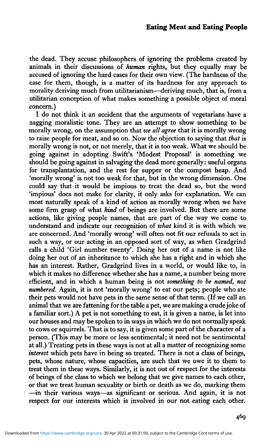the dead. They accuse philosophers of ignoring the problems created by animals in their discussions of *human* rights, but they equally may be accused of ignoring the hard cases for their own view. (The hardness of the case for them, though, is a matter of its hardness for any approach to morality deriving much from utilitarianism—deriving much, that is, from a utilitarian conception of what makes something a possible object of moral concern.)

I do not think it an accident that the arguments of vegetarians have a nagging moralistic tone. They are an attempt to show something to be morally wrong, on the assumption that *we all agree* that it is morally wrong to raise people for meat, and so on. Now the objection to saying that *that* is morally wrong is not, or not merely, that it is too weak. What we should be going against in adopting Swift's 'Modest Proposal' is something we should be going against in salvaging the dead more generally: useful organs for transplantation, and the rest for supper or the compost heap. And 'morally wrong' is not too weak for that, but in the wrong dimension. One could say that it would be impious to treat the dead so, but the word 'impious' does not make for clarity, it only asks for explanation. We can most naturally speak of a kind of action as morally wrong when we have some firm grasp of what *kind* of beings are involved. But there are some actions, like giving people names, that are part of the way we come to understand and indicate our recognition of *what* kind it is with which we are concerned. And 'morally wrong' will often not fit our refusals to act in such a way, or our acting in an opposed sort of way, as when Gradgrind calls a child 'Girl number twenty'. Doing her out of a name is not like doing her out of an inheritance to which she has a right and in which she has an interest. Rather, Gradgrind lives in a world, or would like to, in which it makes no difference whether she has a name, a number being more efficient, and in which a human being is not *something to be named, not numbered.* Again, it is not 'morally wrong' to eat our pets; people who ate their pets would not have pets in the same sense of that term. (If we call an animal that we are fattening for the table a pet, we are making a crude joke of a familiar sort.) A pet is not something to eat, it is given a name, is let into our houses and may be spoken to in ways in which we do not normally speak to cows or squirrels. That is to say, it is given some part of the character of a person. (This may be more or less sentimental; it need not be sentimental at all.) Treating pets in these ways is not at all a matter of recognizing some *interest* which pets have in being so treated. There is not a class of beings, merest which pets have in being so treated. There is not a class of beings, pers, whose nature, whose capacities, are such that we owe it to them to of being of the class to ways. Similarly, it is not out of respect for the interests or beings or the class to which we belong that we give hands to each other, or that we treat human sexuality or birth or death as we do, marking them -in their various ways-as significant or serious. And again, it is not respect for our interests which is involved in our not eating each other.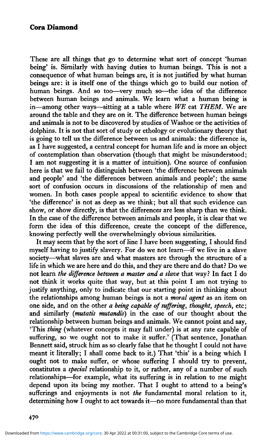These are all things that go to determine what sort of concept 'human being' is. Similarly with having duties to human beings. This is not a consequence of what human beings are, it is not justified by what human beings are: it is itself one of the things which go to build our notion of human beings. And so too—very much so—the idea of the difference between human beings and animals. We learn what a human being is in—among other ways—sitting at a table where *WE* eat *THEM.* We are around the table and they are on it. The difference between human beings and animals is not to be discovered by studies of Washoe or the activities of dolphins. It is not that sort of study or ethology or evolutionary theory that is going to tell us the difference between us and animals: the difference is, as I have suggested, a central concept for human life and is more an object of contemplation than observation (though that might be misunderstood; I am not suggesting it is a matter of intuition). One source of confusion here is that we fail to distinguish between 'the difference between animals and people' and 'the differences between animals and people'; the same sort of confusion occurs in discussions of the relationship of men and women. In both cases people appeal to scientific evidence to show that 'the difference' is not as deep as we think; but all that such evidence can show, or show directly, is that the differences are less sharp than we think. In the case of the difference between animals and people, it is clear that we form the idea of this difference, create the concept of the difference, knowing perfectly well the overwhelmingly obvious similarities.

It may seem that by the sort of line I have been suggesting, I should find myself having to justify slavery. For do we not learn—if we live in a slave society—what slaves are and what masters are through the structure of a life in which we are here and do this, and they are there and do that? Do we not learn *the difference between a master and a slave* that way? In fact I do not think it works quite that way, but at this point I am not trying to justify anything, only to indicate that our starting point in thinking about the relationships among human beings is not a *moral agent* as an item on one side, and on the other *a being capable of suffering, thought, speech,* etc; and similarly *(mutatis mutandis)* in the case of our thought about the relationship between human beings and animals. We cannot point and say, 'This *thing* (whatever concepts it may fall under) is at any rate capable of suffering, so we ought not to make it suffer.' (That sentence, Jonathan Bennett said, struck him as so clearly false that he thought I could not have meant it literally; I shall come back to it.) That 'this' is a being which I ought not to make suffer, or whose suffering I should try to prevent, constitutes a *special* relationship to it, or rather, any of a number of such relationships—for example, what its suffering is in relation to me might depend upon its being my mother. That I ought to attend to a being's sufferings and enjoyments is not *the* fundamental moral relation to it, determining how I ought to act towards it—no more fundamental than that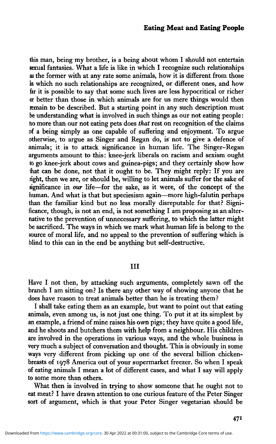this man, being my brother, is a being about whom I should not entertain sexual fantasies. What a life is like in which I recognize such relationships as the former with at any rate some animals, how it is different from those in which no such relationships are recognized, or different ones, and how far it is possible to say that some such lives are less hypocritical or richer or better than those in which animals are for us mere things would then remain to be described. But a starting point in any such description must be understanding what is involved in such things as our not eating people: ho more than our not eating pets does *that* rest on recognition of the claims of a being simply as one capable of suffering and enjoyment. To argue otherwise, to argue as Singer and Regan do, is not to give a defence of animals; it is to attack significance in human life. The Singer-Regan arguments amount to this: knee-jerk liberals on racism and sexism ought to go knee-jerk about cows and guinea-pigs; and they certainly show how that can be done, not that it ought to be. They might reply: If you are right, then we are, or should be, willing to let animals suffer for the sake of ignificance in our life—for the sake, as it were, of the concept of the human. And what is that but speciesism again—more high-falutin perhaps than the familiar kind but no less morally disreputable for that? Significance, though, is not an end, is not something I am proposing as an alternative to the prevention of unnecessary suffering, to which the latter might be sacrificed. The ways in which we mark what human life is belong to the source of moral life, and no appeal to the prevention of suffering which is blind to this can in the end be anything but self-destructive.

### III

Have I not then, by attacking such arguments, completely sawn off the branch I am sitting on? Is there any other way of showing anyone that he does have reason to treat animals better than he is treating them?

I shall take eating them as an example, but want to point out that eating animals, even among us, is not just one thing. To put it at its simplest by an example, a friend of mine raises his own pigs; they have quite a good life, and he shoots and butchers them with help from a neighbour. His children are involved in the operations in various ways, and the whole business is very much a subject of conversation and thought. This is obviously in some ways very different from picking up one of the several billion chickenbreasts of 1978 America out of your supermarket freezer. So when I speak of eating animals I mean a lot of different cases, and what I say will apply to some more than others.

What then is involved in trying to show someone that he ought not to eat meat? I have drawn attention to one curious feature of the Peter Singer sort of argument, which is that your Peter Singer vegetarian should be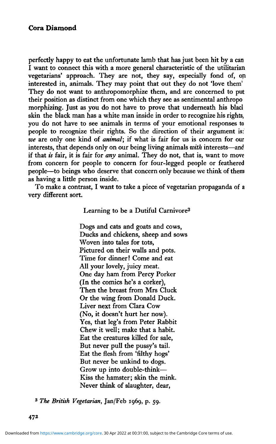perfectly happy to eat the unfortunate lamb that has just been hit by a can I want to connect this with a more general characteristic of the utilitarian vegetarians' approach. They are not, they say, especially fond of, o interested in, animals. They may point that out they do not 'love them' They do not want to anthropomorphize them, and are concerned to put their position as distinct from one which they see as sentimental anthropo morphizing. Just as you do not have to prove that underneath his blaci mi skin the black man has a white man inside in order to recognize his rights, you do not have to see animals in terms of your emotional responses to people to recognize their rights. So the direction of their argument is: *we* are only one kind of *animal*; if what is fair for us is concern for our interests, that depends only on our being living animals with interests—and if that *is* fair, it is fair for *any* animal. They do not, that is, want to move from concern for people to concern for four-legged people or feathered people—to beings who deserve that concern only because we think of them as having a little person inside.

To make a contrast, I want to take a piece of vegetarian propaganda of a very different sort.

Learning to be a Dutiful Carnivore<sup>3</sup>

Dogs and cats and goats and cows, Ducks and chickens, sheep and sows Woven into tales for tots, Pictured on their walls and pots. Time for dinner! Come and eat ^ All your lovely, juicy meat. One day ham from Percy Porker ^ (In the comics he's a corker), Then the breast from Mrs Cluck *\** Or the wing from Donald Duck. Liver next from Clara Cow *I* (No, it doesn't hurt her now). Yes, that leg's from Peter Rabbit *i* Chew it well; make that a habit. Eat the creatures killed for sale, *i* But never pull the pussy's tail. Eat the flesh from 'filthy hogs' *\-* But never be unkind to dogs. Grow up into double-think— ^ Kiss the hamster; skin the mink. Never think of slaughter, dear,

<sup>3</sup> The British Vegetarian, Jan/Feb 1969, p. 59.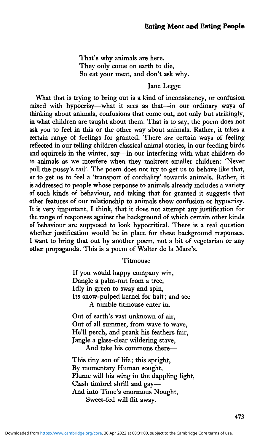That's why animals are here. They only come on earth to die, So eat your meat, and don't ask why.

# **Jane Legge**

What that is trying to bring out is a kind of inconsistency, or confusion mixed with hypocrisy—what it sees as that—in our ordinary ways of thinking about animals, confusions that come out, not only but strikingly, in what children are taught about them. That is to say, the poem does not ask you to feel in this or the other way about animals. Rather, it takes a certain range of feelings for granted. There *are* certain ways of feeling reflected in our telling children classical animal stories, in our feeding birds and squirrels in the winter, say—in our interfering with what children do to animals as we interfere when they maltreat smaller children: 'Never pull the pussy's tail'. The poem does not try to get us to behave like that, or to get us to feel a 'transport of cordiality' towards animals. Rather, it is addressed to people whose response to animals already includes a variety of such kinds of behaviour, and taking that for granted it suggests that other features of our relationship to animals show confusion or hypocrisy. It is very important, I think, that it does not attempt any justification for the range of responses against the background of which certain other kinds of behaviour are supposed to look hypocritical. There is a real question whether justification would be in place for these background responses. I want to bring that out by another poem, not a bit of vegetarian or any other propaganda. This is a poem of Walter de la Mare's.

### **Titmouse**

If you would happy company win, Dangle a palm-nut from a tree, Idly in green to sway and spin, Its snow-pulped kernel for bait; and see A nimble titmouse enter in.

Out of earth's vast unknown of air, Out of all summer, from wave to wave, He'll perch, and prank his feathers fair, Jangle a glass-clear wildering stave, And take his commons there—

This tiny son of life; this spright, By momentary Human sought, Plume will his wing in the dappling light, Clash timbrel shrill and gay— And into Time's enormous Nought, Sweet-fed will flit away.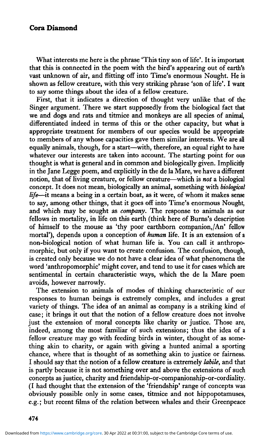## **Cora Diamond**

What interests me here is the phrase 'This tiny son of life'. It is important that this is connected in the poem with the bird's appearing out of earth's vast unknown of air, and flitting off into Time's enormous Nought. He is shown as fellow creature, with this very striking phrase 'son of life'. I want to say some things about the idea of a fellow creature.

First, that it indicates a direction of thought very unlike that of the Singer argument. There we start supposedly from the biological fact tha we and dogs and rats and titmice and monkeys are all species of animal, differentiated indeed in terms of this or the other capacity, but what is appropriate treatment for members of our species would be appropriate to members of any whose capacities gave them similar interests. We are all equally animals, though, for a start—with, therefore, an equal right to have whatever our interests are taken into account. The starting point for our thought is what is general and in common and biologically given. Implicitly in the Jane Legge poem, and explicitly in the de la Mare, we have a different mi notion, that of living creature, or fellow creature—which is not a biological concept. It does not mean, biologically an animal, something with *biological* m< *life*—it means a being in a certain boat, as it were, of whom it makes sense to say, among other things, that it goes off into Time's enormous Nought, and which may be sought as *company*. The response to animals as our fellows in mortality, in life on this earth (think here of Burns's description of himself to the mouse as 'thy poor earthborn companion,/An' fellow mortal'), depends upon a conception of *human* life. It is an extension of a non-biological notion of what human life is. You can call it anthropomorphic, but only if you want to create confusion. The confusion, though, is created only because we do not have a clear idea of what phenomena the word 'anthropomorphic' might cover, and tend to use it for cases which are sentimental in certain characteristic ways, which the de la Mare poem avoids, however narrowly.

The extension to animals of modes of thinking characteristic of our responses to human beings is extremely complex, and includes a great variety of things. The idea of an animal as company is a striking kind of case; it brings it out that the notion of a fellow creature does not involve just the extension of moral concepts like charity or justice. Those are, indeed, among the most familiar of such extensions; thus the idea of a fellow creature may go with feeding birds in winter, thought of as some- *\* of thing akin to charity, or again with giving a hunted animal a sporting chance, where that is thought of as something akin to justice or fairness. I should say that the notion of a fellow creature is extremely *labile,* and that c( is partly because it is not something over and above the extensions of such concepts as justice, charity and friendship-or-companionship-or-cordiality. (I had thought that the extension of the 'friendship' range of concepts was obviously possible only in some cases, titmice and not hippopotamuses, e.g.; but recent films of the relation between whales and their Greenpeace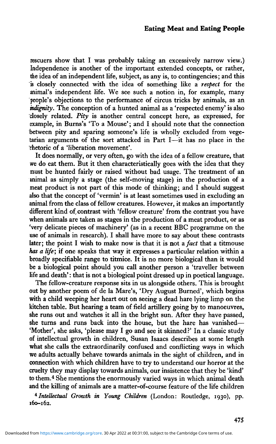#### **Eating Meat and Eating People**

rescuers show that I was probably taking an excessively narrow view.) Independence is another of the important extended concepts, or rather, the idea of an independent life, subject, as any is, to contingencies; and this is closely connected with the idea of something like a *respect* for the animal's independent life. We see such a notion in, for example, many people's objections to the performance of circus tricks by animals, as an *indignity*. The conception of a hunted animal as a 'respected enemy' is also closely related. *Pity* is another central concept here, as expressed, for example, in Burns's 'To a Mouse'; and I should note that the connection between pity and sparing someone's life is wholly excluded from vegetarian arguments of the sort attacked in Part I—it has no place in the rhetoric of a 'liberation movement'.

It does normally, or very often, go with the idea of a fellow creature, that we do eat them. But it then characteristically goes with the idea that they must be hunted fairly or raised without bad usage. The treatment of an animal as simply a stage (the self-moving stage) in the production of a meat product is not part of this mode of thinking; and I should suggest also that the concept of 'vermin' is at least sometimes used in excluding an animal from the class of fellow creatures. However, it makes an importantly different kind of, contrast with 'fellow creature' from the contrast you have when animals are taken as stages in the production of a meat product, or as 'very delicate pieces of machinery' (as in a recent BBC programme on the use of animals in research). I shall have more to say about these contrasts later; the point I wish to make now is that it is not *a fact* that a titmouse *has a life;* if one speaks that way it expresses a particular relation within a broadly specifiable range to titmice. It is no more biological than it would be a biological point should you call another person a 'traveller between life and death': that is not a biological point dressed up in poetical language.

The fellow-creature response sits in us alongside others. This is brought out by another poem of de la Mare's, 'Dry August Burned', which begins with a child weeping her heart out on seeing a dead hare lying limp on the kitchen table. But hearing a team of field artillery going by to manoeuvres, she runs out and watches it all in the bright sun. After they have passed, she turns and runs back into the house, but the hare has vanished— 'Mother', she asks, 'please may I go and see it skinned?' In a classic study of intellectual growth in children, Susan Isaacs describes at some length what she calls the extraordinarily confused and conflicting ways in which we adults actually behave towards animals in the sight of children, and in connection with which children have to try to understand our horror at the cruelty they may display towards animals, our insistence that they be 'kind' to them.4 She mentions the enormously varied ways in which animal death and the killing of animals are a matter-of-course feature of the life children

4 *Intellectual Growth in Young Children* (London: Routledge, 1930), pp. **160-162.**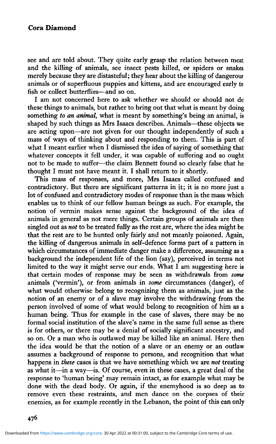see and are told about. They quite early grasp the relation between meat and the killing of animals, see insect pests killed, or spiders or snakes merely because they are distasteful; they hear about the killing of dangerous ti animals or of superfluous puppies and kittens, and are encouraged early to fish or collect butterflies—and so on.

I am not concerned here to ask whether we should or should not do these things to animals, but rather to bring out that what is meant by doing something *to an animal*, what is meant by something's being an animal, is shaped by such things as Mrs Isaacs describes. Animals—these objects we are acting upon—are not given for our thought independently of such ak mass of ways of thinking about and responding to them. This is part of what I meant earlier when I dismissed the idea of saying of something that whatever concepts it fell under, it was capable of suffering and so ought not to be made to suffer—the claim Bennett found so clearly false that he thought I must not have meant it. I shall return to it shortly.

This mass of responses, and more, Mrs Isaacs called confused and contradictory. But there are significant patterns in it; it is no more just a lot of confused and contradictory modes of response than is the mass which enables us to think of our fellow human beings as such. For example, the notion of vermin makes sense against the background of the idea of animals in general as not mere things. Certain groups of animals are then c singled out as *not* to be treated fully as the rest are, where the idea might be that the rest are to be hunted only fairly and not meanly poisoned. Again, the killing of dangerous animals in self-defence forms part of a pattern in which circumstances of immediate danger make a difference, assuming as a background the independent life of the lion (say), perceived in terms not^l limited to the way it might serve our ends. What I am suggesting here is *i* that certain modes of response may be seen as withdrawals from some animals ('vermin'), or from animals in *some* circumstances (danger), of what would otherwise belong to recognizing them as animals, just as the notion of an enemy or of a slave may involve the withdrawing from the < person involved of some of what would belong to recognition of him as a human being. Thus for example in the case of slaves, there may be no formal social institution of the slave's name in the same full sense as there *\* is for others, or there may be a denial of socially significant ancestry, and so on. Or a man who is outlawed may be killed like an animal. Here then the idea would be that the notion of a slave or an enemy or an outlaw < assumes a background of response to persons, and recognition that what *\'.* happens in *these* cases is that we have something which we are *not* treating < as what it—in a way—is. Of course, even in these cases, a great deal of the *i-* • response to 'human being' may remain intact, as for example what may be i done with the dead body. Or again, if the enemyhood is so deep as to remove even these restraints, and men dance on the corpses of their enemies, as for example recently in the Lebanon, the point of this can only ^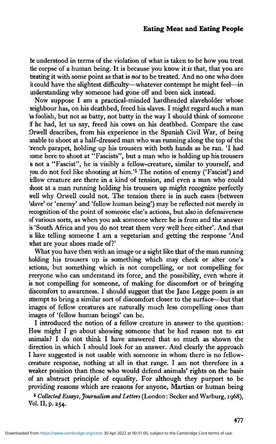be understood in terms of the violation of what is taken to be how you treat the corpse of a human being. It is because you know it *is* that, that you are treating it with some point as that is *not* to be treated. And no one who does it could have the slightest difficulty—whatever contempt he might feel—in understanding why someone had gone off and been sick instead.

Now suppose I am a practical-minded hardheaded slaveholder whose neighbour has, on his deathbed, freed his slaves. I might regard such a man is foolish, but not as batty, not batty in the way I should think of someone if he had, let us say, freed his cows on his deathbed. Compare the case Orwell describes, from his experience in the Spanish Civil War, of being unable to shoot at a half-dressed man who was running along the top of the trench parapet, holding up his trousers with both hands as he ran. 'I had come here to shoot at "Fascists", but a man who is holding up his trousers is not a "Fascist", he is visibly a fellow-creature, similar to yourself, and you do not feel like shooting at him.'<sup>5</sup> The notion of enemy ('Fascist') and fellow creature are there in a kind of tension, and even a man who could shoot at a man running holding his trousers up might recognize perfectly well why Orwell could not. The tension there is in such cases (between 'slave' or 'enemy' and 'fellow human being') may be reflected not merely in recognition of the point of someone else's actions, but also in defensiveness of various sorts, as when you ask someone where he is from and the answer is 'South Africa and you do not treat them very well here either'. And that is like telling someone I am a vegetarian and getting the response 'And what are your shoes made of?'

What you have then with an image or a sight like that of the man running holding his trousers up is something which may check or alter one's actions, but something which is not compelling, or not compelling for everyone who can understand its force, and the possibility, even where it is not compelling for someone, of making for discomfort or of bringing discomfort to awareness. I should suggest that the Jane Legge poem is an attempt to bring a similar sort of discomfort closer to the surface—but that images of fellow creatures are naturally much less compelling ones than images of 'fellow human beings' can be.

I introduced the notion of a fellow creature in answer to the question: How might I go about showing someone that he had reason not to eat animals? I do not think I have answered that so much as shown the direction in which I should look for an answer. And clearly the approach have suggested is not usable with someone in whom there is no fellowcreature response, nothing at all in that range. I am not therefore in a weaker position than those who would defend animals' rights on the basis of an abstract principle of equality. For although they purport to be providing reasons which are reasons for anyone, Martian or human being

5  *Collected Essays, Journalism and Letters* (London: Seeker and Warburg, 1968), *M.* II, p. 254.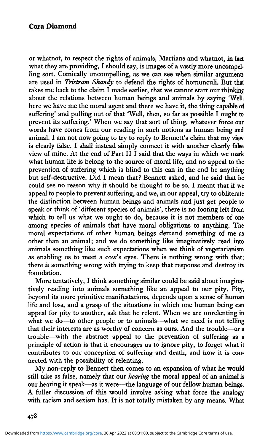## **Cora Diamond**

or whatnot, to respect the rights of animals, Martians and whatnot, in fact what they are providing, I should say, is images of a vastly more uncompelling sort. Comically uncompelling, as we can see when similar arguments are used in *Tristram Shandy* to defend the rights of homunculi. But that takes me back to the claim I made earlier, that we cannot start our thinking about the relations between human beings and animals by saying 'Well here we have me the moral agent and there we have it, the thing capable of suffering' and pulling out of that 'Well, then, so far as possible I ought to prevent its suffering.' When we say that sort of thing, whatever force our words have comes from our reading in such notions as human being and animal. I am not now going to try to reply to Bennett's claim that my view is clearly false. I shall instead simply connect it with another clearly false view of mine. At the end of Part II I said that the ways in which we mark what human life is belong to the source of moral life, and no appeal to the prevention of suffering which is blind to this can in the end be anything but self-destructive. Did I mean that? Bennett asked, and he said that he' could see no reason why it should be thought to be so. I meant that if we appeal to people to prevent suffering, and we, in our appeal, try to obliterate the distinction between human beings and animals and just get people to speak or think of 'different species of animals', there is no footing left from^ which to tell us what we ought to do, because it is not members of one among species of animals that have moral obligations to anything. The moral expectations of other human beings demand something of me as other than an animal; and we do something like imaginatively read into animals something like such expectations when we think of vegetarianism as enabling us to meet a cow's eyes. There is nothing wrong with that; there *is* something wrong with trying to keep that response and destroy its: there is sometimig wrong with trying to accp that response and destroy ns

More tentatively, I think something similar could be said about imaginatively reading into animals something like an appeal to our pity. Pity,^ beyond its more primitive manifestations, depends upon a sense of human life and loss, and a grasp of the situations in which one human being can appeal for pity to another, ask that he relent. When we are unrelenting in what we do—to other people or to animals—what we need is not telling that their interests are as worthy of concern as ours. And the trouble—or a trouble—with the abstract appeal to the prevention of suffering as a principle of action is that it encourages us to ignore pity, to forget what it contributes to our conception of suffering and death, and how it is connected with the possibility of relenting.

My non-reply to Bennett then comes to an expansion of what he would still take as false, namely that our *hearing* the moral appeal of an animal is our hearing it speak—as it were—the language of our fellow human beings. A fuller discussion of this would involve asking what force the analogy with racism and sexism has. It is not totally mistaken by any means. What